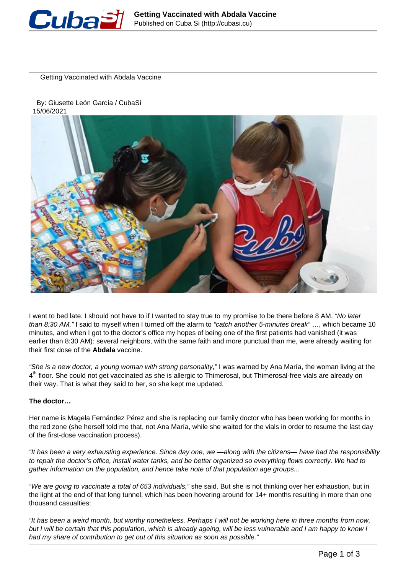

Getting Vaccinated with Abdala Vaccine

 By: Giusette León García / CubaSí 15/06/2021



I went to bed late. I should not have to if I wanted to stay true to my promise to be there before 8 AM. "No later than 8:30 AM," I said to myself when I turned off the alarm to "catch another 5-minutes break" .... which became 10 minutes, and when I got to the doctor's office my hopes of being one of the first patients had vanished (it was earlier than 8:30 AM): several neighbors, with the same faith and more punctual than me, were already waiting for their first dose of the **Abdala** vaccine.

"She is a new doctor, a young woman with strong personality," I was warned by Ana María, the woman living at the 4<sup>th</sup> floor. She could not get vaccinated as she is allergic to Thimerosal, but Thimerosal-free vials are already on their way. That is what they said to her, so she kept me updated.

# **The doctor…**

Her name is Magela Fernández Pérez and she is replacing our family doctor who has been working for months in the red zone (she herself told me that, not Ana María, while she waited for the vials in order to resume the last day of the first-dose vaccination process).

"It has been a very exhausting experience. Since day one, we —along with the citizens— have had the responsibility to repair the doctor's office, install water tanks, and be better organized so everything flows correctly. We had to gather information on the population, and hence take note of that population age groups...

"We are going to vaccinate a total of 653 individuals," she said. But she is not thinking over her exhaustion, but in the light at the end of that long tunnel, which has been hovering around for 14+ months resulting in more than one thousand casualties:

"It has been a weird month, but worthy nonetheless. Perhaps I will not be working here in three months from now, but I will be certain that this population, which is already ageing, will be less vulnerable and I am happy to know I had my share of contribution to get out of this situation as soon as possible."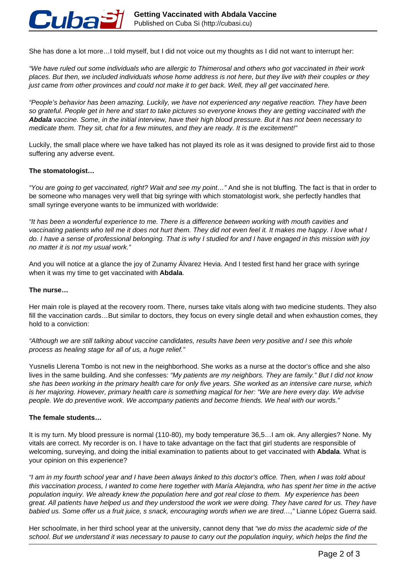

She has done a lot more…I told myself, but I did not voice out my thoughts as I did not want to interrupt her:

"We have ruled out some individuals who are allergic to Thimerosal and others who got vaccinated in their work places. But then, we included individuals whose home address is not here, but they live with their couples or they just came from other provinces and could not make it to get back. Well, they all get vaccinated here.

"People's behavior has been amazing. Luckily, we have not experienced any negative reaction. They have been so grateful. People get in here and start to take pictures so everyone knows they are getting vaccinated with the **Abdala** vaccine. Some, in the initial interview, have their high blood pressure. But it has not been necessary to medicate them. They sit, chat for a few minutes, and they are ready. It is the excitement!"

Luckily, the small place where we have talked has not played its role as it was designed to provide first aid to those suffering any adverse event.

# **The stomatologist…**

"You are going to get vaccinated, right? Wait and see my point…" And she is not bluffing. The fact is that in order to be someone who manages very well that big syringe with which stomatologist work, she perfectly handles that small syringe everyone wants to be immunized with worldwide:

"It has been a wonderful experience to me. There is a difference between working with mouth cavities and vaccinating patients who tell me it does not hurt them. They did not even feel it. It makes me happy. I love what I do. I have a sense of professional belonging. That is why I studied for and I have engaged in this mission with joy no matter it is not my usual work."

And you will notice at a glance the joy of Zunamy Álvarez Hevia. And I tested first hand her grace with syringe when it was my time to get vaccinated with **Abdala**.

#### **The nurse…**

Her main role is played at the recovery room. There, nurses take vitals along with two medicine students. They also fill the vaccination cards…But similar to doctors, they focus on every single detail and when exhaustion comes, they hold to a conviction:

"Although we are still talking about vaccine candidates, results have been very positive and I see this whole process as healing stage for all of us, a huge relief."

Yusnelis Llerena Tombo is not new in the neighborhood. She works as a nurse at the doctor's office and she also lives in the same building. And she confesses: "My patients are my neighbors. They are family." But I did not know she has been working in the primary health care for only five years. She worked as an intensive care nurse, which is her majoring. However, primary health care is something magical for her: "We are here every day. We advise people. We do preventive work. We accompany patients and become friends. We heal with our words."

# **The female students…**

It is my turn. My blood pressure is normal (110-80), my body temperature 36,5…I am ok. Any allergies? None. My vitals are correct. My recorder is on. I have to take advantage on the fact that girl students are responsible of welcoming, surveying, and doing the initial examination to patients about to get vaccinated with **Abdala**. What is your opinion on this experience?

"I am in my fourth school year and I have been always linked to this doctor's office. Then, when I was told about this vaccination process, I wanted to come here together with María Alejandra, who has spent her time in the active population inquiry. We already knew the population here and got real close to them. My experience has been great. All patients have helped us and they understood the work we were doing. They have cared for us. They have babied us. Some offer us a fruit juice, s snack, encouraging words when we are tired…," Lianne López Guerra said.

Her schoolmate, in her third school year at the university, cannot deny that "we do miss the academic side of the school. But we understand it was necessary to pause to carry out the population inquiry, which helps the find the